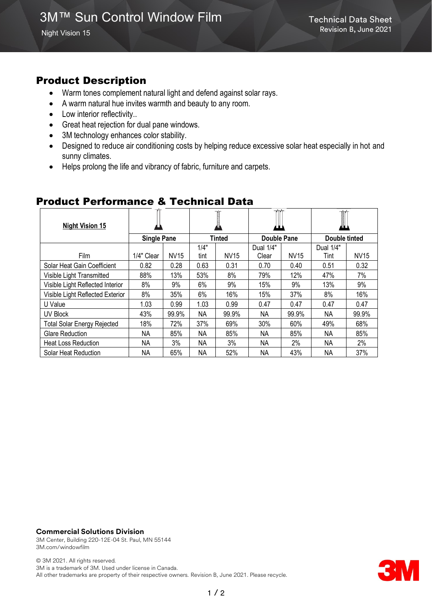# Product Description

- Warm tones complement natural light and defend against solar rays.
- A warm natural hue invites warmth and beauty to any room.
- Low interior reflectivity..
- Great heat rejection for dual pane windows.
- 3M technology enhances color stability.
- Designed to reduce air conditioning costs by helping reduce excessive solar heat especially in hot and sunny climates.
- Helps prolong the life and vibrancy of fabric, furniture and carpets.

| <b>Night Vision 15</b>             |            |             |               |             | ₩₩          |             | I             |             |
|------------------------------------|------------|-------------|---------------|-------------|-------------|-------------|---------------|-------------|
| <b>Single Pane</b>                 |            |             | <b>Tinted</b> |             | Double Pane |             | Double tinted |             |
|                                    |            |             | 1/4"          |             | Dual 1/4"   |             | Dual 1/4"     |             |
| <b>Film</b>                        | 1/4" Clear | <b>NV15</b> | tint          | <b>NV15</b> | Clear       | <b>NV15</b> | Tint          | <b>NV15</b> |
| Solar Heat Gain Coefficient        | 0.82       | 0.28        | 0.63          | 0.31        | 0.70        | 0.40        | 0.51          | 0.32        |
| Visible Light Transmitted          | 88%        | 13%         | 53%           | 8%          | 79%         | 12%         | 47%           | 7%          |
| Visible Light Reflected Interior   | 8%         | 9%          | 6%            | 9%          | 15%         | 9%          | 13%           | 9%          |
| Visible Light Reflected Exterior   | 8%         | 35%         | 6%            | 16%         | 15%         | 37%         | 8%            | 16%         |
| U Value                            | 1.03       | 0.99        | 1.03          | 0.99        | 0.47        | 0.47        | 0.47          | 0.47        |
| UV Block                           | 43%        | 99.9%       | NΑ            | 99.9%       | NΑ          | 99.9%       | ΝA            | 99.9%       |
| <b>Total Solar Energy Rejected</b> | 18%        | 72%         | 37%           | 69%         | 30%         | 60%         | 49%           | 68%         |
| <b>Glare Reduction</b>             | ΝA         | 85%         | NΑ            | 85%         | NA.         | 85%         | ΝA            | 85%         |
| <b>Heat Loss Reduction</b>         | ΝA         | 3%          | ΝA            | 3%          | NA.         | $2\%$       | <b>NA</b>     | 2%          |
| Solar Heat Reduction               | ΝA         | 65%         | NΑ            | 52%         | ΝA          | 43%         | ΝA            | 37%         |

## Product Performance & Technical Data

#### **Commercial Solutions Division**

3M Center, Building 220-12E-04 St. Paul, MN 55144 3M.com/windowfilm

© 3M 2021. All rights reserved. 3M is a trademark of 3M. Used under license in Canada. All other trademarks are property of their respective owners. Revision B, June 2021. Please recycle.